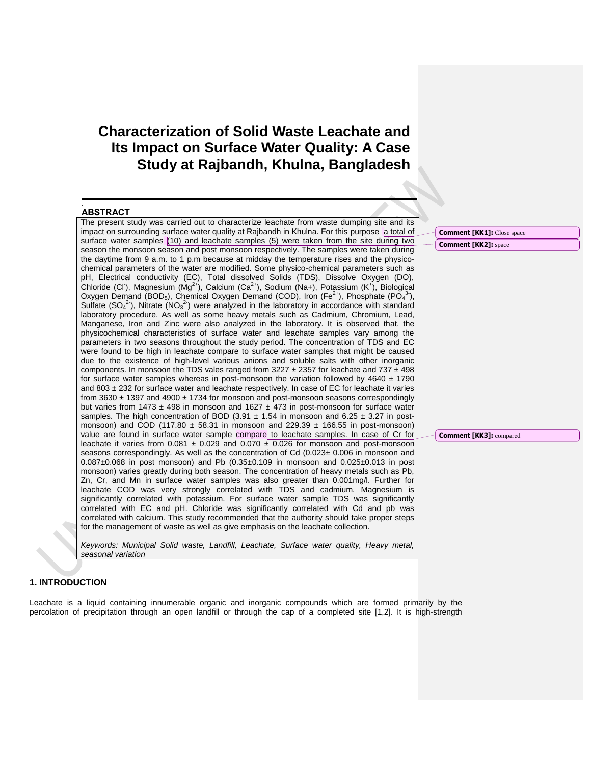# **Characterization of Solid Waste Leachate and Its Impact on Surface Water Quality: A Case Study at Rajbandh, Khulna, Bangladesh**

#### . **ABSTRACT**

The present study was carried out to characterize leachate from waste dumping site and its impact on surrounding surface water quality at Rajbandh in Khulna. For this purpose  $|a|$  total of surface water samples (10) and leachate samples (5) were taken from the site during two season the monsoon season and post monsoon respectively. The samples were taken during the daytime from 9 a.m. to 1 p.m because at midday the temperature rises and the physicochemical parameters of the water are modified. Some physico-chemical parameters such as pH, Electrical conductivity (EC), Total dissolved Solids (TDS), Dissolve Oxygen (DO), Chloride (CI), Magnesium (Mg<sup>2+</sup>), Calcium (Ca<sup>2+</sup>), Sodium (Na+), Potassium (K<sup>+</sup>), Biological Oxygen Demand (BOD<sub>5</sub>), Chemical Oxygen Demand (COD), Iron (Fe<sup>2+</sup>), Phosphate (PO<sub>4</sub><sup>3-</sup>), Sulfate (SO<sub>4</sub><sup>2</sup>), Nitrate (NO<sub>3</sub><sup>2</sup>) were analyzed in the laboratory in accordance with standard laboratory procedure. As well as some heavy metals such as Cadmium, Chromium, Lead, Manganese, Iron and Zinc were also analyzed in the laboratory. It is observed that, the physicochemical characteristics of surface water and leachate samples vary among the parameters in two seasons throughout the study period. The concentration of TDS and EC were found to be high in leachate compare to surface water samples that might be caused due to the existence of high-level various anions and soluble salts with other inorganic components. In monsoon the TDS vales ranged from  $3227 \pm 2357$  for leachate and  $737 \pm 498$ for surface water samples whereas in post-monsoon the variation followed by  $4640 \pm 1790$ and  $803 \pm 232$  for surface water and leachate respectively. In case of EC for leachate it varies from  $3630 \pm 1397$  and  $4900 \pm 1734$  for monsoon and post-monsoon seasons correspondingly but varies from  $1473 \pm 498$  in monsoon and  $1627 \pm 473$  in post-monsoon for surface water samples. The high concentration of BOD (3.91  $\pm$  1.54 in monsoon and 6.25  $\pm$  3.27 in postmonsoon) and COD (117.80  $\pm$  58.31 in monsoon and 229.39  $\pm$  166.55 in post-monsoon) value are found in surface water sample compare to leachate samples. In case of Cr for leachate it varies from  $0.081 \pm 0.029$  and  $0.070 \pm 0.026$  for monsoon and post-monsoon seasons correspondingly. As well as the concentration of Cd  $(0.023<sub>±</sub> 0.006$  in monsoon and  $0.087 \pm 0.068$  in post monsoon) and Pb  $(0.35 \pm 0.109)$  in monsoon and  $0.025 \pm 0.013$  in post monsoon) varies greatly during both season. The concentration of heavy metals such as Pb, Zn, Cr, and Mn in surface water samples was also greater than 0.001mg/l. Further for leachate COD was very strongly correlated with TDS and cadmium. Magnesium is significantly correlated with potassium. For surface water sample TDS was significantly correlated with EC and pH. Chloride was significantly correlated with Cd and pb was correlated with calcium. This study recommended that the authority should take proper steps for the management of waste as well as give emphasis on the leachate collection.

**Comment [KK1]:** Close space

**Comment [KK2]:** space

**Comment [KK3]:** compared

*Keywords: Municipal Solid waste, Landfill, Leachate, Surface water quality, Heavy metal, seasonal variation*

# **1. INTRODUCTION**

Leachate is a liquid containing innumerable organic and inorganic compounds which are formed primarily by the percolation of precipitation through an open landfill or through the cap of a completed site [1,2]. It is high-strength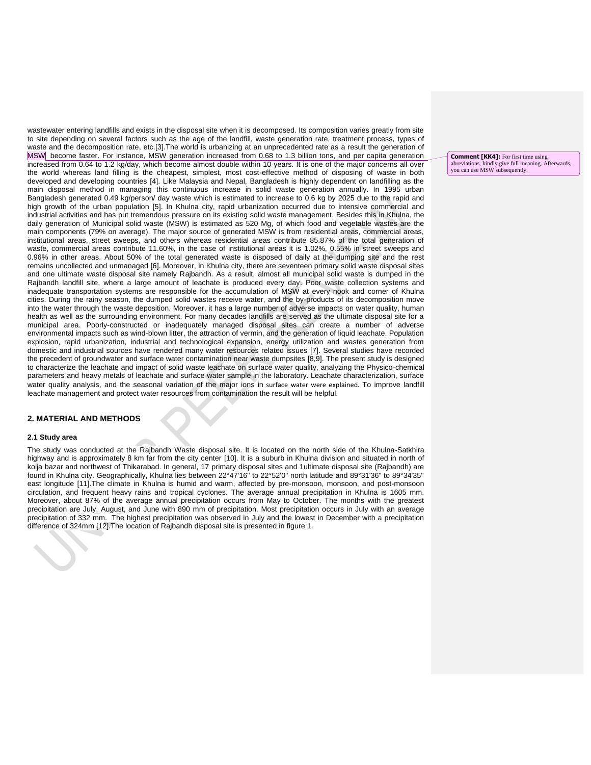wastewater entering landfills and exists in the disposal site when it is decomposed. Its composition varies greatly from site to site depending on several factors such as the age of the landfill, waste generation rate, treatment process, types of waste and the decomposition rate, etc.[3].The world is urbanizing at an unprecedented rate as a result the generation of MSW become faster. For instance, MSW generation increased from 0.68 to 1.3 billion tons, and per capita generation increased from 0.64 to 1.2 kg/day, which become almost double within 10 years. It is one of the major concerns all over the world whereas land filling is the cheapest, simplest, most cost-effective method of disposing of waste in both developed and developing countries [4]. Like Malaysia and Nepal, Bangladesh is highly dependent on landfilling as the main disposal method in managing this continuous increase in solid waste generation annually. In 1995 urban Bangladesh generated 0.49 kg/person/ day waste which is estimated to increase to 0.6 kg by 2025 due to the rapid and high growth of the urban population [5]. In Khulna city, rapid urbanization occurred due to intensive commercial and industrial activities and has put tremendous pressure on its existing solid waste management. Besides this in Khulna, the daily generation of Municipal solid waste (MSW) is estimated as 520 Mg, of which food and vegetable wastes are the main components (79% on average). The major source of generated MSW is from residential areas, commercial areas, institutional areas, street sweeps, and others whereas residential areas contribute 85.87% of the total generation of waste, commercial areas contribute 11.60%, in the case of institutional areas it is 1.02%, 0.55% in street sweeps and 0.96% in other areas. About 50% of the total generated waste is disposed of daily at the dumping site and the rest remains uncollected and unmanaged [6]. Moreover, in Khulna city, there are seventeen primary solid waste disposal sites and one ultimate waste disposal site namely Rajbandh. As a result, almost all municipal solid waste is dumped in the Rajbandh landfill site, where a large amount of leachate is produced every day. Poor waste collection systems and inadequate transportation systems are responsible for the accumulation of MSW at every nook and corner of Khulna cities. During the rainy season, the dumped solid wastes receive water, and the by-products of its decomposition move into the water through the waste deposition. Moreover, it has a large number of adverse impacts on water quality, human health as well as the surrounding environment. For many decades landfills are served as the ultimate disposal site for a municipal area. Poorly-constructed or inadequately managed disposal sites can create a number of adverse environmental impacts such as wind-blown litter, the attraction of vermin, and the generation of liquid leachate. Population explosion, rapid urbanization, industrial and technological expansion, energy utilization and wastes generation from domestic and industrial sources have rendered many water resources related issues [7]. Several studies have recorded the precedent of groundwater and surface water contamination near waste dumpsites [8,9]. The present study is designed to characterize the leachate and impact of solid waste leachate on surface water quality, analyzing the Physico-chemical parameters and heavy metals of leachate and surface water sample in the laboratory. Leachate characterization, surface water quality analysis, and the seasonal variation of the major ions in surface water were explained. To improve landfill leachate management and protect water resources from contamination the result will be helpful.

# **2. MATERIAL AND METHODS**

#### **2.1 Study area**

The study was conducted at the Rajbandh Waste disposal site. It is located on the north side of the Khulna-Satkhira highway and is approximately 8 km far from the city center [10]. It is a suburb in Khulna division and situated in north of koija bazar and northwest of Thikarabad. In general, 17 primary disposal sites and 1ultimate disposal site (Rajbandh) are found in Khulna city. Geographically, Khulna lies between 22°47'16" to 22°52'0" north latitude and 89°31'36" to 89°34'35" east longitude [11].The climate in Khulna is humid and warm, affected by pre-monsoon, monsoon, and post-monsoon circulation, and frequent heavy rains and tropical cyclones. The average annual precipitation in Khulna is 1605 mm. Moreover, about 87% of the average annual precipitation occurs from May to October. The months with the greatest precipitation are July, August, and June with 890 mm of precipitation. Most precipitation occurs in July with an average precipitation of 332 mm. The highest precipitation was observed in July and the lowest in December with a precipitation difference of 324mm [12].The location of Rajbandh disposal site is presented in figure 1.

**Comment [KK4]:** For first time using abreviations, kindly give full meaning. Afterwards, you can use MSW subsequently.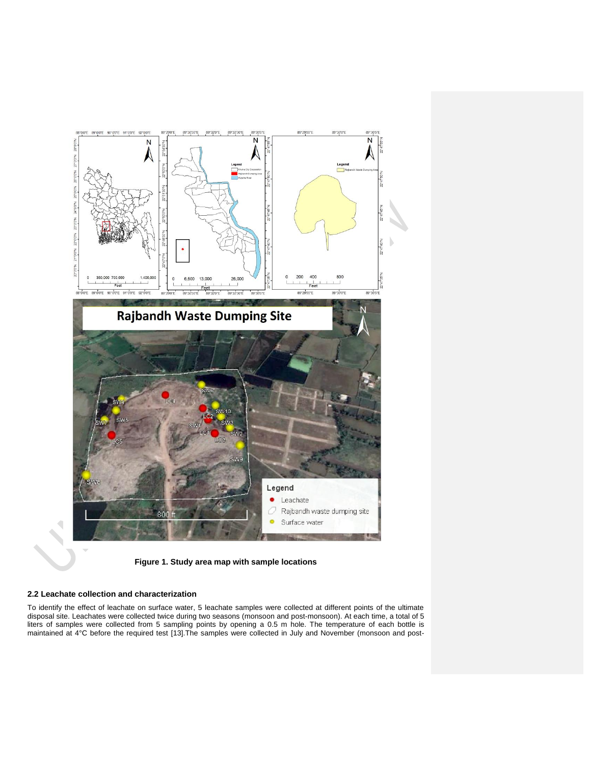

**Figure 1. Study area map with sample locations**

## **2.2 Leachate collection and characterization**

To identify the effect of leachate on surface water, 5 leachate samples were collected at different points of the ultimate disposal site. Leachates were collected twice during two seasons (monsoon and post-monsoon). At each time, a total of 5 liters of samples were collected from 5 sampling points by opening a 0.5 m hole. The temperature of each bottle is maintained at 4°C before the required test [13].The samples were collected in July and November (monsoon and post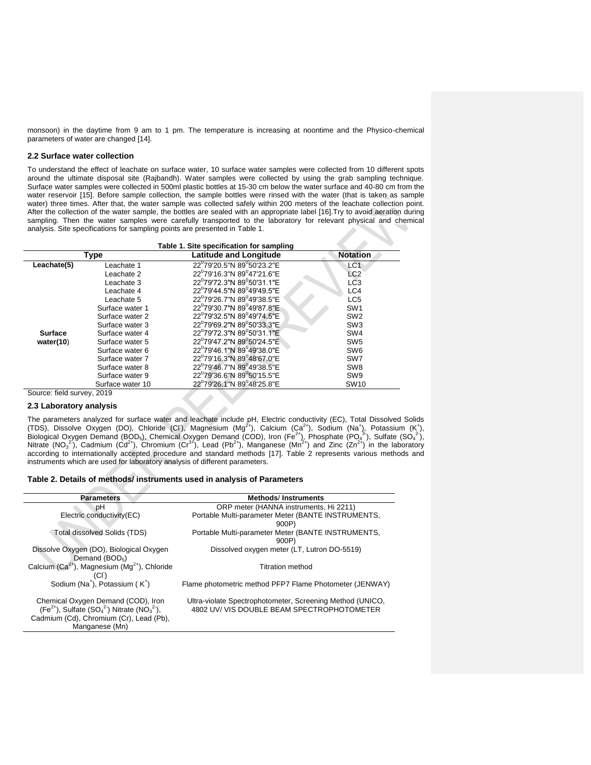monsoon) in the daytime from 9 am to 1 pm. The temperature is increasing at noontime and the Physico-chemical parameters of water are changed [14].

## **2.2 Surface water collection**

To understand the effect of leachate on surface water, 10 surface water samples were collected from 10 different spots around the ultimate disposal site (Rajbandh). Water samples were collected by using the grab sampling technique. Surface water samples were collected in 500ml plastic bottles at 15-30 cm below the water surface and 40-80 cm from the water reservoir [15]. Before sample collection, the sample bottles were rinsed with the water (that is taken as sample water) three times. After that, the water sample was collected safely within 200 meters of the leachate collection point. After the collection of the water sample, the bottles are sealed with an appropriate label [16].Try to avoid aeration during sampling. Then the water samples were carefully transported to the laboratory for relevant physical and chemical analysis. Site specifications for sampling points are presented in Table 1.

| Table 1. Site specification for sampling |                  |                                                     |                 |  |  |  |  |  |  |  |  |  |  |
|------------------------------------------|------------------|-----------------------------------------------------|-----------------|--|--|--|--|--|--|--|--|--|--|
|                                          | Type             | <b>Latitude and Longitude</b>                       | <b>Notation</b> |  |  |  |  |  |  |  |  |  |  |
| Leachate(5)                              | Leachate 1       | 22 79' 20.5" N 89 50' 23.2" E                       | LC <sub>1</sub> |  |  |  |  |  |  |  |  |  |  |
|                                          | Leachate 2       | 22°79'16.3"N 89°47'21.6"E                           | LC <sub>2</sub> |  |  |  |  |  |  |  |  |  |  |
|                                          | Leachate 3       | 22°79'72.3"N 89°50'31.1"E                           | LC <sub>3</sub> |  |  |  |  |  |  |  |  |  |  |
|                                          | Leachate 4       | 22°79'44.5"N 89°49'49.5"E                           | LC4             |  |  |  |  |  |  |  |  |  |  |
|                                          | Leachate 5       | 22 <sup>0</sup> 79'26.7"N 89 <sup>0</sup> 49'38.5"E | LC <sub>5</sub> |  |  |  |  |  |  |  |  |  |  |
|                                          | Surface water 1  | 22 <sup>0</sup> 79'30.7"N 89 <sup>0</sup> 49'87.8"E | SW <sub>1</sub> |  |  |  |  |  |  |  |  |  |  |
|                                          | Surface water 2  | 22 <sup>0</sup> 79'32.5"N 89 <sup>0</sup> 49'74.5"E | SW <sub>2</sub> |  |  |  |  |  |  |  |  |  |  |
|                                          | Surface water 3  | 22 79'69.2"N 89 50'33.3"E                           | SW <sub>3</sub> |  |  |  |  |  |  |  |  |  |  |
| <b>Surface</b>                           | Surface water 4  | 22°79'72.3"N 89°50'31.1"E                           | SW <sub>4</sub> |  |  |  |  |  |  |  |  |  |  |
| water $(10)$                             | Surface water 5  | 22°79'47.2"N 89°50'24.5"E                           | SW <sub>5</sub> |  |  |  |  |  |  |  |  |  |  |
|                                          | Surface water 6  | 22°79'46.1"N 89°49'38.0"E                           | SW <sub>6</sub> |  |  |  |  |  |  |  |  |  |  |
|                                          | Surface water 7  | 22°79'16.3"N 89°48'67.0"E                           | SW7             |  |  |  |  |  |  |  |  |  |  |
|                                          | Surface water 8  | 22°79'46.7"N 89°49'38.5"E                           | SW <sub>8</sub> |  |  |  |  |  |  |  |  |  |  |
|                                          | Surface water 9  | 22"79'36.6"N 89"50'15.5"E                           | SW <sub>9</sub> |  |  |  |  |  |  |  |  |  |  |
|                                          | Surface water 10 | 22°79'26.1"N 89°48'25.8"E                           | <b>SW10</b>     |  |  |  |  |  |  |  |  |  |  |
| Source: field curvey, 2010               |                  |                                                     |                 |  |  |  |  |  |  |  |  |  |  |

Source: field survey, 2019

# **2.3 Laboratory analysis**

S.

The parameters analyzed for surface water and leachate include pH, Electric conductivity (EC), Total Dissolved Solids<br>(TDS), Dissolve Oxygen (DO), Chloride (Cl<sup>-</sup>), Magnesium (Mg<sup>2+</sup>), Calcium (Ca<sup>2+</sup>), Sodium (Na<sup>+</sup>), Pot Nitrate  $(NO_3^2)$ , Cadmium  $(Cd^2)$ , Chromium  $(Cr^3)$ , Lead  $(Pb^2)$ , Manganese  $(Mn^2)$  and Zinc  $(Zn^2)$  in the laboratory according to internationally accepted procedure and standard methods [17]. Table 2 represents various methods and instruments which are used for laboratory analysis of different parameters.

| Table 2. Details of methods/ instruments used in analysis of Parameters |  |  |  |  |  |  |
|-------------------------------------------------------------------------|--|--|--|--|--|--|
|-------------------------------------------------------------------------|--|--|--|--|--|--|

| <b>Methods/Instruments</b>                                |
|-----------------------------------------------------------|
| ORP meter (HANNA instruments, Hi 2211)                    |
| Portable Multi-parameter Meter (BANTE INSTRUMENTS,        |
| 900P)                                                     |
| Portable Multi-parameter Meter (BANTE INSTRUMENTS,        |
| 900P)                                                     |
| Dissolved oxygen meter (LT, Lutron DO-5519)               |
|                                                           |
| <b>Titration method</b>                                   |
|                                                           |
| Flame photometric method PFP7 Flame Photometer (JENWAY)   |
|                                                           |
| Ultra-violate Spectrophotometer, Screening Method (UNICO, |
| 4802 UV/ VIS DOUBLE BEAM SPECTROPHOTOMETER                |
|                                                           |
|                                                           |
|                                                           |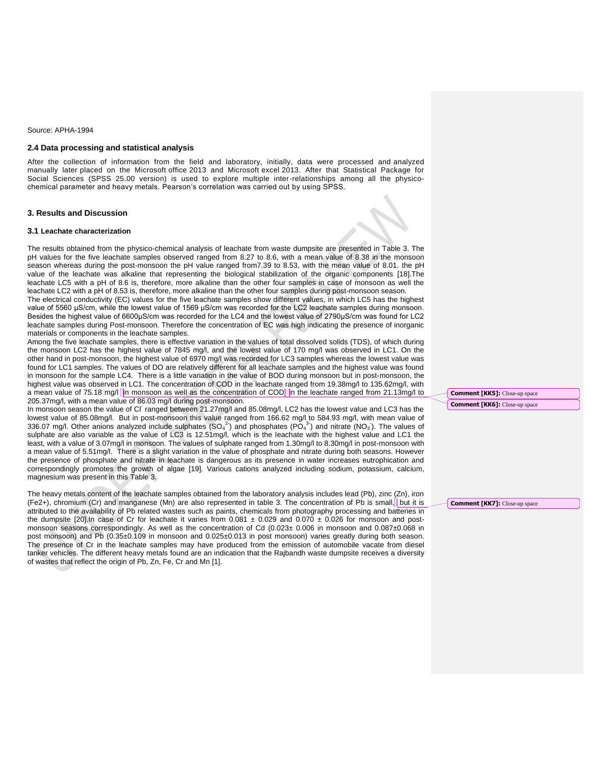#### Source: APHA-1994

### **2.4 Data processing and statistical analysis**

After the collection of information from the field and laboratory, initially, data were processed and analyzed manually later placed on the Microsoft office 2013 and Microsoft excel 2013. After that Statistical Package for Social Sciences (SPSS 25.00 version) is used to explore multiple inter-relationships among all the physicochemical parameter and heavy metals. Pearson's correlation was carried out by using SPSS.

## **3. Results and Discussion**

#### **3.1 Leachate characterization**

The results obtained from the physico-chemical analysis of leachate from waste dumpsite are presented in Table 3. The pH values for the five leachate samples observed ranged from 8.27 to 8.6, with a mean value of 8.38 in the monsoon season whereas during the post-monsoon the pH value ranged from7.39 to 8.53, with the mean value of 8.01. the pH value of the leachate was alkaline that representing the biological stabilization of the organic components [18].The leachate LC5 with a pH of 8.6 is, therefore, more alkaline than the other four samples in case of monsoon as well the leachate LC2 with a pH of 8.53 is, therefore, more alkaline than the other four samples during post-monsoon season.

The electrical conductivity (EC) values for the five leachate samples show different values, in which LC5 has the highest value of 5560 μS/cm, while the lowest value of 1569 μS/cm was recorded for the LC2 leachate samples during monsoon. Besides the highest value of 6600μS/cm was recorded for the LC4 and the lowest value of 2790μS/cm was found for LC2 leachate samples during Post-monsoon. Therefore the concentration of EC was high indicating the presence of inorganic materials or components in the leachate samples.

Among the five leachate samples, there is effective variation in the values of total dissolved solids (TDS), of which during the monsoon LC2 has the highest value of 7845 mg/l, and the lowest value of 170 mg/l was observed in LC1. On the other hand in post-monsoon, the highest value of 6970 mg/l was recorded for LC3 samples whereas the lowest value was found for LC1 samples. The values of DO are relatively different for all leachate samples and the highest value was found in monsoon for the sample LC4. There is a little variation in the value of BOD during monsoon but in post-monsoon, the highest value was observed in LC1. The concentration of COD in the leachate ranged from 19.38mg/l to 135.62mg/l, with a mean value of 75.18 mg/l in monsoon as well as the concentration of COD in the leachate ranged from 21.13mg/l to 205.37mg/l, with a mean value of 86.03 mg/l during post-monsoon.

In monsoon season the value of CI ranged between 21.27mg/l and 85.08mg/l, LC2 has the lowest value and LC3 has the lowest value of 85.08mg/l. But in post-monsoon this value ranged from 166.62 mg/l to 584.93 mg/l, with mean value of 336.07 mg/l. Other anions analyzed include sulphates  $(SO_4^2)$  and phosphates ( $\overline{PO_4}^3$ ) and nitrate (NO<sub>3</sub>). The values of sulphate are also variable as the value of LC3 is 12.51mg/l, which is the leachate with the highest value and LC1 the least, with a value of 3.07mg/l in monsoon. The values of sulphate ranged from 1.30mg/l to 8.30mg/l in post-monsoon with a mean value of 5.51mg/l. There is a slight variation in the value of phosphate and nitrate during both seasons. However the presence of phosphate and nitrate in leachate is dangerous as its presence in water increases eutrophication and correspondingly promotes the growth of algae [19]. Various cations analyzed including sodium, potassium, calcium, magnesium was present in this Table 3.

The heavy metals content of the leachate samples obtained from the laboratory analysis includes lead (Pb), zinc (Zn), iron (Fe2+), chromium (Cr) and manganese (Mn) are also represented in table 3. The concentration of Pb is small, but it is attributed to the availability of Pb related wastes such as paints, chemicals from photography processing and batteries in the dumpsite [20]. In case of Cr for leachate it varies from  $0.081 \pm 0.029$  and  $0.070 \pm 0.026$  for monsoon and postmonsoon seasons correspondingly. As well as the concentration of Cd (0.023± 0.006 in monsoon and 0.087±0.068 in post monsoon) and Pb (0.35±0.109 in monsoon and 0.025±0.013 in post monsoon) varies greatly during both season. The presence of Cr in the leachate samples may have produced from the emission of automobile vacate from diesel tanker vehicles. The different heavy metals found are an indication that the Rajbandh waste dumpsite receives a diversity of wastes that reflect the origin of Pb, Zn, Fe, Cr and Mn [1].

**Comment [KK5]:** Close-up space **Comment [KK6]:** Close-up space

**Comment [KK7]:** Close-up space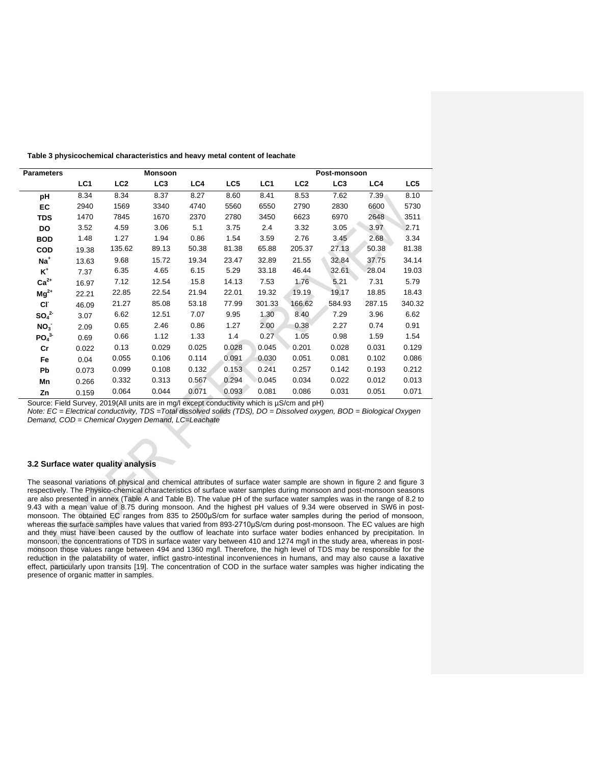| <b>Parameters</b>            |       |                 | <b>Monsoon</b>  |       |       |                 |                 | Post-monsoon    |        | LC5<br>8.10<br>5730<br>3511<br>2.71<br>3.34<br>81.38<br>34.14<br>19.03<br>5.79<br>18.43<br>340.32<br>6.62<br>0.91 |  |  |  |  |  |  |  |
|------------------------------|-------|-----------------|-----------------|-------|-------|-----------------|-----------------|-----------------|--------|-------------------------------------------------------------------------------------------------------------------|--|--|--|--|--|--|--|
|                              | LC1   | LC <sub>2</sub> | LC <sub>3</sub> | LC4   | LC5   | LC <sub>1</sub> | LC <sub>2</sub> | LC <sub>3</sub> | LC4    |                                                                                                                   |  |  |  |  |  |  |  |
| pH                           | 8.34  | 8.34            | 8.37            | 8.27  | 8.60  | 8.41            | 8.53            | 7.62            | 7.39   |                                                                                                                   |  |  |  |  |  |  |  |
| EC                           | 2940  | 1569            | 3340            | 4740  | 5560  | 6550            | 2790            | 2830            | 6600   |                                                                                                                   |  |  |  |  |  |  |  |
| <b>TDS</b>                   | 1470  | 7845            | 1670            | 2370  | 2780  | 3450            | 6623            | 6970            | 2648   |                                                                                                                   |  |  |  |  |  |  |  |
| DO                           | 3.52  | 4.59            | 3.06            | 5.1   | 3.75  | 2.4             | 3.32            | 3.05            | 3.97   |                                                                                                                   |  |  |  |  |  |  |  |
| <b>BOD</b>                   | 1.48  | 1.27            | 1.94            | 0.86  | 1.54  | 3.59            | 2.76            | 3.45            | 2.68   |                                                                                                                   |  |  |  |  |  |  |  |
| <b>COD</b>                   | 19.38 | 135.62          | 89.13           | 50.38 | 81.38 | 65.88           | 205.37          | 27.13           | 50.38  |                                                                                                                   |  |  |  |  |  |  |  |
| $Na+$                        | 13.63 | 9.68            | 15.72           | 19.34 | 23.47 | 32.89           | 21.55           | 32.84           | 37.75  |                                                                                                                   |  |  |  |  |  |  |  |
| $K^+$                        | 7.37  | 6.35            | 4.65            | 6.15  | 5.29  | 33.18           | 46.44           | 32.61           | 28.04  |                                                                                                                   |  |  |  |  |  |  |  |
| $Ca2+$                       | 16.97 | 7.12            | 12.54           | 15.8  | 14.13 | 7.53            | 1.76            | 5.21            | 7.31   |                                                                                                                   |  |  |  |  |  |  |  |
| $Mg^{2+}$                    | 22.21 | 22.85           | 22.54           | 21.94 | 22.01 | 19.32           | 19.19           | 19.17           | 18.85  |                                                                                                                   |  |  |  |  |  |  |  |
| <b>CI</b>                    | 46.09 | 21.27           | 85.08           | 53.18 | 77.99 | 301.33          | 166.62          | 584.93          | 287.15 |                                                                                                                   |  |  |  |  |  |  |  |
| $SO_4^2$                     | 3.07  | 6.62            | 12.51           | 7.07  | 9.95  | 1.30            | 8.40            | 7.29            | 3.96   |                                                                                                                   |  |  |  |  |  |  |  |
| NO <sub>3</sub>              | 2.09  | 0.65            | 2.46            | 0.86  | 1.27  | 2.00            | 0.38            | 2.27            | 0.74   |                                                                                                                   |  |  |  |  |  |  |  |
| PO <sub>4</sub> <sup>3</sup> | 0.69  | 0.66            | 1.12            | 1.33  | 1.4   | 0.27            | 1.05            | 0.98            | 1.59   | 1.54                                                                                                              |  |  |  |  |  |  |  |
| Cr                           | 0.022 | 0.13            | 0.029           | 0.025 | 0.028 | 0.045           | 0.201           | 0.028           | 0.031  | 0.129                                                                                                             |  |  |  |  |  |  |  |
| Fe                           | 0.04  | 0.055           | 0.106           | 0.114 | 0.091 | 0.030           | 0.051           | 0.081           | 0.102  | 0.086                                                                                                             |  |  |  |  |  |  |  |
| Pb                           | 0.073 | 0.099           | 0.108           | 0.132 | 0.153 | 0.241           | 0.257           | 0.142           | 0.193  | 0.212                                                                                                             |  |  |  |  |  |  |  |
| Mn                           | 0.266 | 0.332           | 0.313           | 0.567 | 0.294 | 0.045           | 0.034           | 0.022           | 0.012  | 0.013                                                                                                             |  |  |  |  |  |  |  |
| Zn                           | 0.159 | 0.064           | 0.044           | 0.071 | 0.093 | 0.081           | 0.086           | 0.031           | 0.051  | 0.071                                                                                                             |  |  |  |  |  |  |  |

**Table 3 physicochemical characteristics and heavy metal content of leachate**

Source: Field Survey, 2019(All units are in mg/l except conductivity which is  $\mu$ S/cm and pH)

*Note: EC = Electrical conductivity, TDS =Total dissolved solids (TDS), DO = Dissolved oxygen, BOD = Biological Oxygen Demand, COD = Chemical Oxygen Demand, LC=Leachate*

#### **3.2 Surface water quality analysis**

The seasonal variations of physical and chemical attributes of surface water sample are shown in figure 2 and figure 3 respectively. The Physico-chemical characteristics of surface water samples during monsoon and post-monsoon seasons are also presented in annex (Table A and Table B). The value pH of the surface water samples was in the range of 8.2 to 9.43 with a mean value of 8.75 during monsoon. And the highest pH values of 9.34 were observed in SW6 in postmonsoon. The obtained EC ranges from 835 to 2500μS/cm for surface water samples during the period of monsoon, whereas the surface samples have values that varied from 893-2710μS/cm during post-monsoon. The EC values are high and they must have been caused by the outflow of leachate into surface water bodies enhanced by precipitation. In monsoon, the concentrations of TDS in surface water vary between 410 and 1274 mg/l in the study area, whereas in postmonsoon those values range between 494 and 1360 mg/l. Therefore, the high level of TDS may be responsible for the reduction in the palatability of water, inflict gastro-intestinal inconveniences in humans, and may also cause a laxative effect, particularly upon transits [19]. The concentration of COD in the surface water samples was higher indicating the presence of organic matter in samples.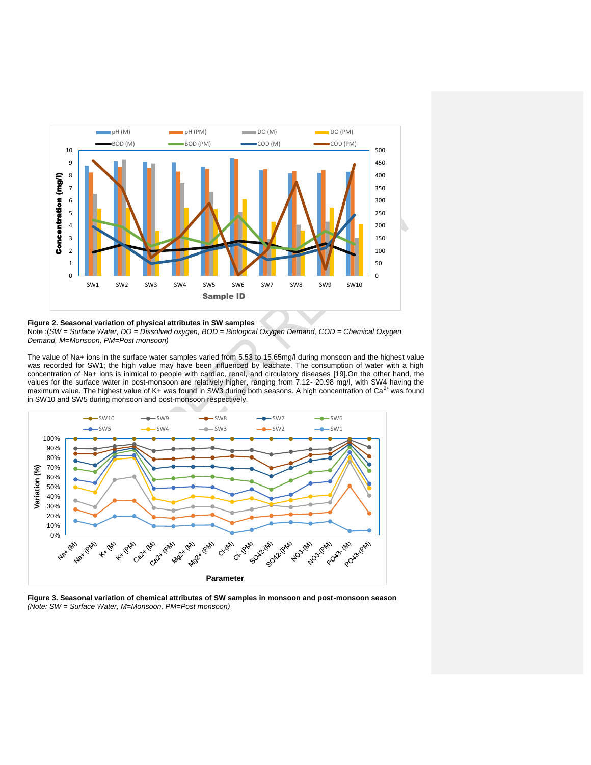

#### **Figure 2. Seasonal variation of physical attributes in SW samples**

Note :(*SW = Surface Water, DO = Dissolved oxygen, BOD = Biological Oxygen Demand, COD = Chemical Oxygen Demand, M=Monsoon, PM=Post monsoon)*

The value of Na+ ions in the surface water samples varied from 5.53 to 15.65mg/l during monsoon and the highest value was recorded for SW1; the high value may have been influenced by leachate. The consumption of water with a high concentration of Na+ ions is inimical to people with cardiac, renal, and circulatory diseases [19].On the other hand, the values for the surface water in post-monsoon are relatively higher, ranging from 7.12- 20.98 mg/l, with SW4 having the maximum value. The highest value of K+ was found in SW3 during both seasons. A high concentration of Ca<sup>2+</sup> was found in SW10 and SW5 during monsoon and post-monsoon respectively.



**Figure 3. Seasonal variation of chemical attributes of SW samples in monsoon and post-monsoon season**  *(Note: SW = Surface Water, M=Monsoon, PM=Post monsoon)*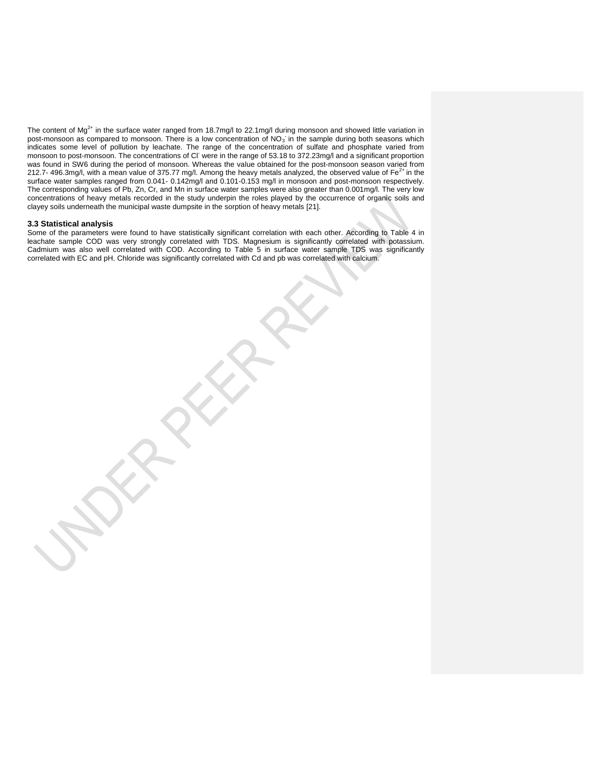The content of Mg<sup>2+</sup> in the surface water ranged from 18.7mg/l to 22.1mg/l during monsoon and showed little variation in post-monsoon as compared to monsoon. There is a low concentration of NO<sub>3</sub> in the sample during both seasons which indicates some level of pollution by leachate. The range of the concentration of sulfate and phosphate varied from monsoon to post-monsoon. The concentrations of Cl were in the range of 53.18 to 372.23mg/l and a significant proportion was found in SW6 during the period of monsoon. Whereas the value obtained for the post-monsoon season varied from 212.7- 496.3mg/l, with a mean value of 375.77 mg/l. Among the heavy metals analyzed, the observed value of  $Fe<sup>2+</sup>$  in the surface water samples ranged from 0.041- 0.142mg/l and 0.101-0.153 mg/l in monsoon and post-monsoon respectively. The corresponding values of Pb, Zn, Cr, and Mn in surface water samples were also greater than 0.001mg/l. The very low concentrations of heavy metals recorded in the study underpin the roles played by the occurrence of organic soils and clayey soils underneath the municipal waste dumpsite in the sorption of heavy metals [21].

#### **3.3 Statistical analysis**

Some of the parameters were found to have statistically significant correlation with each other. According to Table 4 in leachate sample COD was very strongly correlated with TDS. Magnesium is significantly correlated with potassium. Cadmium was also well correlated with COD. According to Table 5 in surface water sample TDS was significantly correlated with EC and pH. Chloride was significantly correlated with Cd and pb was correlated with calcium.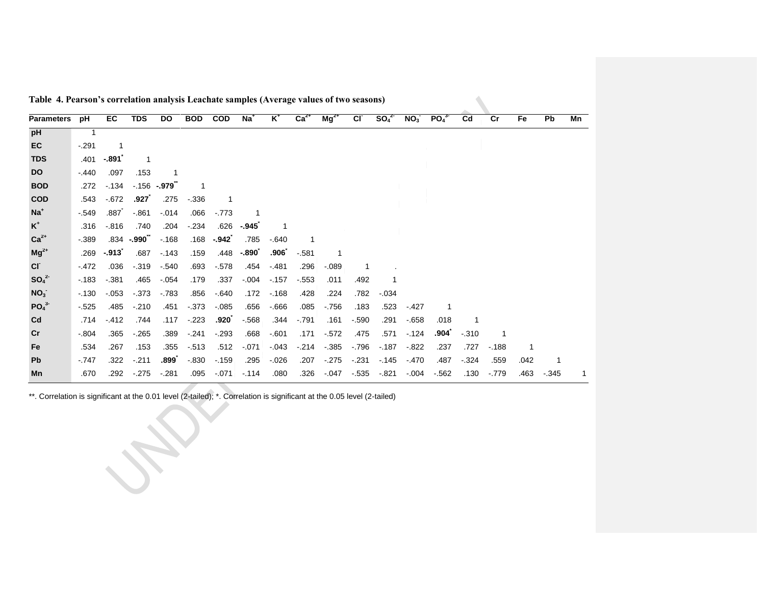|                              | Table 4. Pearson's correlation analysis Leachate samples (Average values of two seasons) |         |              |                 |            |            |                 |         |        |           |           |          |                 |                              |         |        |      |         |    |
|------------------------------|------------------------------------------------------------------------------------------|---------|--------------|-----------------|------------|------------|-----------------|---------|--------|-----------|-----------|----------|-----------------|------------------------------|---------|--------|------|---------|----|
| <b>Parameters</b>            | pH                                                                                       | EC      | <b>TDS</b>   | DO              | <b>BOD</b> | <b>COD</b> | Na <sup>+</sup> | $K^+$   | $Ca2+$ | $Mg^{2+}$ | <b>CI</b> | $SO_4^2$ | NO <sub>3</sub> | PO <sub>4</sub> <sup>3</sup> | Cd      | Cr     | Fe   | Pb      | Mn |
| pH                           | 1                                                                                        |         |              |                 |            |            |                 |         |        |           |           |          |                 |                              |         |        |      |         |    |
| EC                           | $-.291$                                                                                  |         |              |                 |            |            |                 |         |        |           |           |          |                 |                              |         |        |      |         |    |
| <b>TDS</b>                   | .401                                                                                     | $-891$  | 1            |                 |            |            |                 |         |        |           |           |          |                 |                              |         |        |      |         |    |
| <b>DO</b>                    | $-.440$                                                                                  | .097    | .153         |                 |            |            |                 |         |        |           |           |          |                 |                              |         |        |      |         |    |
| <b>BOD</b>                   | .272                                                                                     | $-134$  |              | $-.156$ $-.979$ | -1         |            |                 |         |        |           |           |          |                 |                              |         |        |      |         |    |
| <b>COD</b>                   | .543                                                                                     | $-672$  | .927         | .275            | $-.336$    |            |                 |         |        |           |           |          |                 |                              |         |        |      |         |    |
| $Na+$                        | $-549$                                                                                   | .887    | $-861$       | $-.014$         | .066       | $-.773$    | 1               |         |        |           |           |          |                 |                              |         |        |      |         |    |
| $K^+$                        | .316                                                                                     | $-816$  | .740         | .204            | $-234$     | .626       | $-945$          | 1       |        |           |           |          |                 |                              |         |        |      |         |    |
| $Ca2+$                       | $-.389$                                                                                  | .834    | $-990^\circ$ | $-168$          | .168       | $-942$     | .785            | $-640$  |        |           |           |          |                 |                              |         |        |      |         |    |
| $Mg^{2+}$                    | .269                                                                                     | $-913$  | .687         | $-.143$         | .159       | .448       | $-0.890$        | .906    | $-581$ |           |           |          |                 |                              |         |        |      |         |    |
| CI                           | $-472$                                                                                   | .036    | $-.319$      | $-540$          | .693       | $-578$     | .454            | $-.481$ | .296   | $-.089$   |           |          |                 |                              |         |        |      |         |    |
| SO <sub>4</sub> <sup>2</sup> | $-183$                                                                                   | $-.381$ | .465         | $-0.054$        | .179       | .337       | $-.004$         | $-157$  | $-553$ | .011      | .492      | 1        |                 |                              |         |        |      |         |    |
| NO <sub>3</sub>              | $-130$                                                                                   | $-0.53$ | $-373$       | $-.783$         | .856       | $-640$     | .172            | $-168$  | .428   | .224      | .782      | $-.034$  |                 |                              |         |        |      |         |    |
| PO <sub>4</sub> <sup>3</sup> | $-525$                                                                                   | .485    | $-.210$      | .451            | $-373$     | $-.085$    | .656            | $-666$  | .085   | $-756$    | .183      | .523     | -.427           |                              |         |        |      |         |    |
| C <sub>d</sub>               | .714                                                                                     | $-412$  | .744         | .117            | $-223$     | .920       | $-568$          | .344    | $-791$ | .161      | $-590$    | .291     | $-658$          | .018                         |         |        |      |         |    |
| cr                           | $-.804$                                                                                  | .365    | $-265$       | .389            | $-.241$    | $-.293$    | .668            | $-.601$ | .171   | $-572$    | .475      | .571     | $-124$          | .904 <sup>°</sup>            | $-.310$ | 1      |      |         |    |
| Fe                           | .534                                                                                     | .267    | .153         | .355            | $-513$     | .512       | $-.071$         | $-.043$ | $-214$ | $-385$    | $-796$    | $-187$   | $-.822$         | .237                         | .727    | $-188$ | 1    |         |    |
| Pb                           | $-.747$                                                                                  | .322    | $-.211$      | .899            | $-830$     | $-159$     | .295            | $-.026$ | .207   | $-275$    | $-.231$   | $-145$   | $-470$          | .487                         | $-.324$ | .559   | .042 | 1       |    |
| Mn                           | .670                                                                                     | .292    | $-275$       | $-.281$         | .095       | $-.071$    | $-114$          | .080    | .326   | $-.047$   | $-535$    | $-821$   | $-.004$         | $-562$                       | .130    | $-779$ | .463 | $-.345$ | 1  |

**Table 4. Pearson's correlation analysis Leachate samples (Average values of two seasons)**

\*\*. Correlation is significant at the 0.01 level (2-tailed); \*. Correlation is significant at the 0.05 level (2-tailed)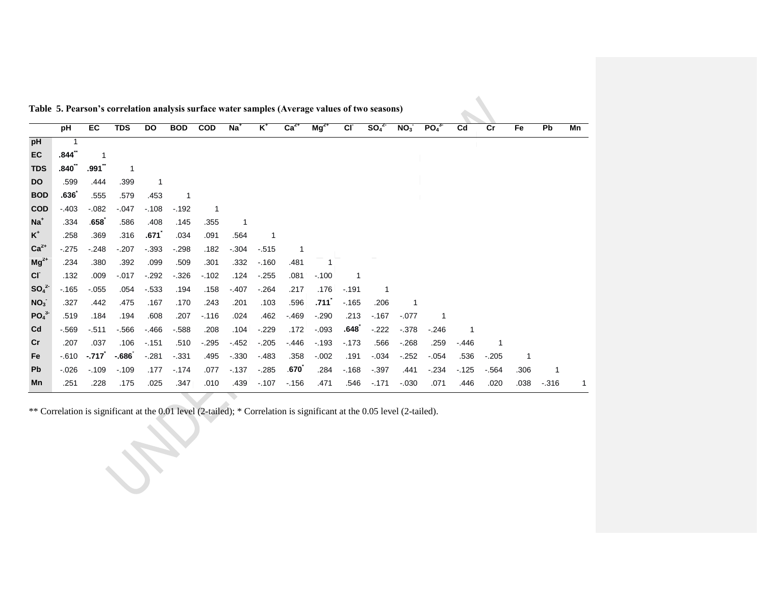|                              | Table 5. Pearson's correlation analysis surface water samples (Average values of two seasons) |          |            |          |            |            |         |         |         |           |                   |                              |                 |                              |        |         |      |          |    |
|------------------------------|-----------------------------------------------------------------------------------------------|----------|------------|----------|------------|------------|---------|---------|---------|-----------|-------------------|------------------------------|-----------------|------------------------------|--------|---------|------|----------|----|
|                              | pH                                                                                            | EC       | <b>TDS</b> | DO       | <b>BOD</b> | <b>COD</b> | $Na+$   | $K_{+}$ | $Ca2+$  | $Mg^{2+}$ | CI                | SO <sub>4</sub> <sup>2</sup> | NO <sub>3</sub> | PO <sub>4</sub> <sup>3</sup> | Cd     | Cr      | Fe   | Pb       | Mn |
| pH                           | 1                                                                                             |          |            |          |            |            |         |         |         |           |                   |                              |                 |                              |        |         |      |          |    |
| EC                           | $.844^{\degree}$                                                                              |          |            |          |            |            |         |         |         |           |                   |                              |                 |                              |        |         |      |          |    |
| <b>TDS</b>                   | .840                                                                                          | .991     |            |          |            |            |         |         |         |           |                   |                              |                 |                              |        |         |      |          |    |
| <b>DO</b>                    | .599                                                                                          | .444     | .399       | 1        |            |            |         |         |         |           |                   |                              |                 |                              |        |         |      |          |    |
| <b>BOD</b>                   | .636                                                                                          | .555     | .579       | .453     | 1          |            |         |         |         |           |                   |                              |                 |                              |        |         |      |          |    |
| <b>COD</b>                   | $-403$                                                                                        | $-.082$  | $-.047$    | $-108$   | $-192$     | 1          |         |         |         |           |                   |                              |                 |                              |        |         |      |          |    |
| $Na+$                        | .334                                                                                          | .658     | .586       | .408     | .145       | .355       | 1       |         |         |           |                   |                              |                 |                              |        |         |      |          |    |
| $K^+$                        | .258                                                                                          | .369     | .316       | .671     | .034       | .091       | .564    | -1      |         |           |                   |                              |                 |                              |        |         |      |          |    |
| $Ca2+$                       | $-275$                                                                                        | $-.248$  | $-.207$    | $-.393$  | $-.298$    | .182       | $-.304$ | $-515$  | 1       |           |                   |                              |                 |                              |        |         |      |          |    |
| $Mg^{2+}$                    | .234                                                                                          | .380     | .392       | .099     | .509       | .301       | .332    | $-160$  | .481    |           |                   |                              |                 |                              |        |         |      |          |    |
| CI                           | .132                                                                                          | .009     | $-0.017$   | $-.292$  | $-.326$    | $-102$     | .124    | $-255$  | .081    | $-100$    |                   |                              |                 |                              |        |         |      |          |    |
| $SO_4^2$                     | $-165$                                                                                        | $-.055$  | .054       | $-0.533$ | .194       | .158       | $-.407$ | $-264$  | .217    | .176      | $-191$            |                              |                 |                              |        |         |      |          |    |
| NO <sub>3</sub>              | .327                                                                                          | .442     | .475       | .167     | .170       | .243       | .201    | .103    | .596    | .711      | $-165$            | .206                         | 1               |                              |        |         |      |          |    |
| PO <sub>4</sub> <sup>3</sup> | .519                                                                                          | .184     | .194       | .608     | .207       | $-116$     | .024    | .462    | $-.469$ | $-.290$   | .213              | $-167$                       | $-.077$         | 1                            |        |         |      |          |    |
| C <sub>d</sub>               | $-569$                                                                                        | $-511$   | $-566$     | $-466$   | $-588$     | .208       | .104    | $-229$  | .172    | $-.093$   | .648 <sup>°</sup> | $-.222$                      | $-.378$         | $-.246$                      |        |         |      |          |    |
| cr                           | .207                                                                                          | .037     | .106       | $-151$   | .510       | $-295$     | $-452$  | $-205$  | $-446$  | $-193$    | $-173$            | .566                         | $-268$          | .259                         | $-446$ |         |      |          |    |
| Fe                           | $-610$                                                                                        | $-717$   | $-686$     | $-.281$  | $-331$     | .495       | $-.330$ | $-483$  | .358    | $-.002$   | .191              | $-.034$                      | $-.252$         | $-.054$                      | .536   | $-.205$ | 1    |          |    |
| Pb                           | $-0.026$                                                                                      | $-0.109$ | $-109$     | .177     | $-174$     | .077       | $-137$  | $-285$  | .670    | .284      | $-168$            | $-397$                       | .441            | $-.234$                      | $-125$ | $-564$  | .306 | 1        |    |
| Mn                           | .251                                                                                          | .228     | .175       | .025     | .347       | .010       | .439    | $-.107$ | $-156$  | .471      | .546              | $-.171$                      | $-0.030$        | .071                         | .446   | .020    | .038 | $-0.316$ | 1  |

J \*\* Correlation is significant at the 0.01 level (2-tailed); \* Correlation is significant at the 0.05 level (2-tailed).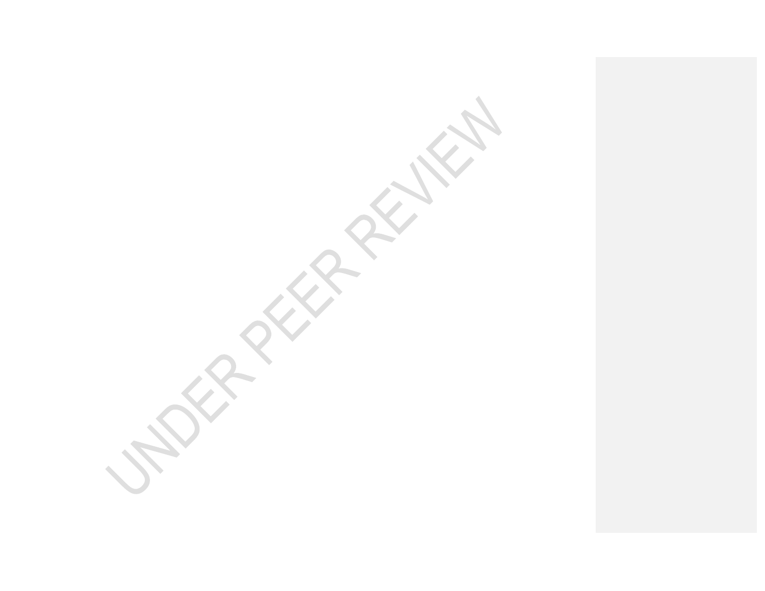**UNDER PERFECTIVES**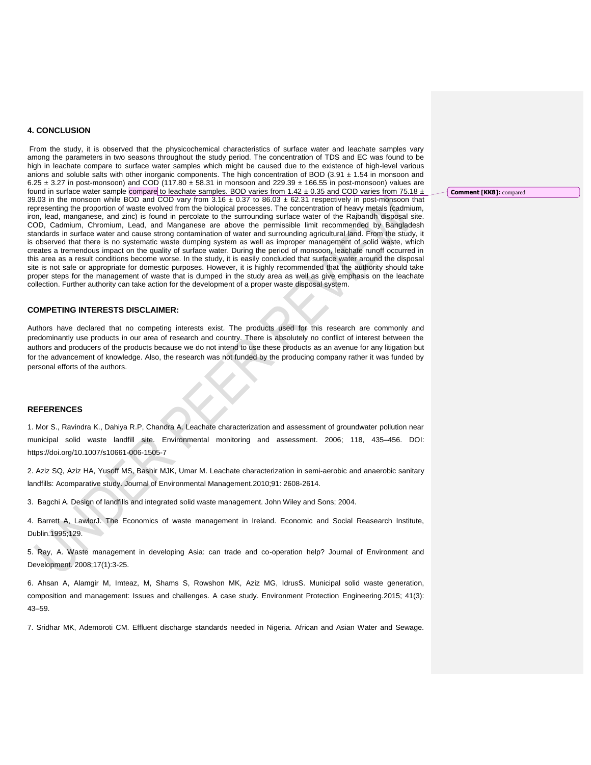## **4. CONCLUSION**

From the study, it is observed that the physicochemical characteristics of surface water and leachate samples vary among the parameters in two seasons throughout the study period. The concentration of TDS and EC was found to be high in leachate compare to surface water samples which might be caused due to the existence of high-level various anions and soluble salts with other inorganic components. The high concentration of BOD (3.91 ± 1.54 in monsoon and  $6.25 \pm 3.27$  in post-monsoon) and COD (117.80  $\pm$  58.31 in monsoon and 229.39  $\pm$  166.55 in post-monsoon) values are found in surface water sample compare to leachate samples. BOD varies from 1.42  $\pm$  0.35 and COD varies from 75.18  $\pm$ 39.03 in the monsoon while BOD and COD vary from  $3.16 \pm 0.37$  to  $86.03 \pm 62.31$  respectively in post-monsoon that representing the proportion of waste evolved from the biological processes. The concentration of heavy metals (cadmium, iron, lead, manganese, and zinc) is found in percolate to the surrounding surface water of the Rajbandh disposal site. COD, Cadmium, Chromium, Lead, and Manganese are above the permissible limit recommended by Bangladesh standards in surface water and cause strong contamination of water and surrounding agricultural land. From the study, it is observed that there is no systematic waste dumping system as well as improper management of solid waste, which creates a tremendous impact on the quality of surface water. During the period of monsoon, leachate runoff occurred in this area as a result conditions become worse. In the study, it is easily concluded that surface water around the disposal site is not safe or appropriate for domestic purposes. However, it is highly recommended that the authority should take proper steps for the management of waste that is dumped in the study area as well as give emphasis on the leachate collection. Further authority can take action for the development of a proper waste disposal system.

#### **COMPETING INTERESTS DISCLAIMER:**

Authors have declared that no competing interests exist. The products used for this research are commonly and predominantly use products in our area of research and country. There is absolutely no conflict of interest between the authors and producers of the products because we do not intend to use these products as an avenue for any litigation but for the advancement of knowledge. Also, the research was not funded by the producing company rather it was funded by personal efforts of the authors.

### **REFERENCES**

1. Mor S., Ravindra K., Dahiya R.P, Chandra A. Leachate characterization and assessment of groundwater pollution near municipal solid waste landfill site. Environmental monitoring and assessment. 2006; 118, 435–456. DOI: https://doi.org/10.1007/s10661-006-1505-7

2. Aziz SQ, Aziz HA, Yusoff MS, Bashir MJK, Umar M. Leachate characterization in semi-aerobic and anaerobic sanitary landfills: Acomparative study. Journal of Environmental Management.2010;91: 2608-2614.

3. Bagchi A. Design of landfills and integrated solid waste management. John Wiley and Sons; 2004.

4. Barrett A, LawlorJ. The Economics of waste management in Ireland. Economic and Social Reasearch Institute, Dublin.1995;129.

5. Ray, A. Waste management in developing Asia: can trade and co-operation help? Journal of Environment and Development. 2008;17(1):3-25.

6. Ahsan A, Alamgir M, Imteaz, M, Shams S, Rowshon MK, Aziz MG, IdrusS. Municipal solid waste generation, composition and management: Issues and challenges. A case study. Environment Protection Engineering.2015; 41(3): 43–59.

7. Sridhar MK, Ademoroti CM. Effluent discharge standards needed in Nigeria. African and Asian Water and Sewage.

**Comment [KK8]:** compared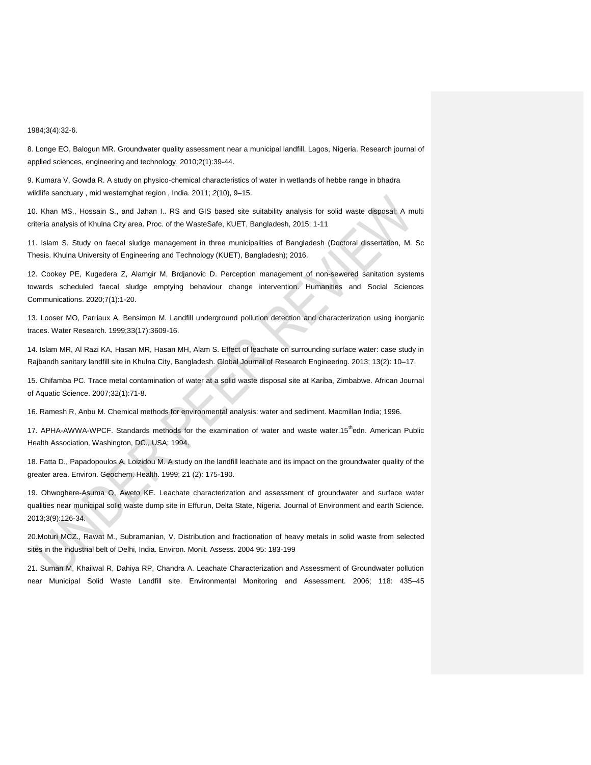#### 1984;3(4):32-6.

8. Longe EO, Balogun MR. Groundwater quality assessment near a municipal landfill, Lagos, Nigeria. Research journal of applied sciences, engineering and technology. 2010;2(1):39-44.

9. Kumara V, Gowda R. A study on physico-chemical characteristics of water in wetlands of hebbe range in bhadra wildlife sanctuary , mid westernghat region , India. 2011; *2*(10), 9–15.

10. Khan MS., Hossain S., and Jahan I.. RS and GIS based site suitability analysis for solid waste disposal: A multi criteria analysis of Khulna City area. Proc. of the WasteSafe, KUET, Bangladesh, 2015; 1-11

11. Islam S. Study on faecal sludge management in three municipalities of Bangladesh (Doctoral dissertation, M. Sc Thesis. Khulna University of Engineering and Technology (KUET), Bangladesh); 2016.

12. Cookey PE, Kugedera Z, Alamgir M, Brdjanovic D. Perception management of non-sewered sanitation systems towards scheduled faecal sludge emptying behaviour change intervention. Humanities and Social Sciences Communications. 2020;7(1):1-20.

13. Looser MO, Parriaux A, Bensimon M. Landfill underground pollution detection and characterization using inorganic traces. Water Research. 1999;33(17):3609-16.

14. Islam MR, Al Razi KA, Hasan MR, Hasan MH, Alam S. Effect of leachate on surrounding surface water: case study in Rajbandh sanitary landfill site in Khulna City, Bangladesh. Global Journal of Research Engineering. 2013; 13(2): 10–17.

15. Chifamba PC. Trace metal contamination of water at a solid waste disposal site at Kariba, Zimbabwe. African Journal of Aquatic Science. 2007;32(1):71-8.

16. Ramesh R, Anbu M. Chemical methods for environmental analysis: water and sediment. Macmillan India; 1996.

17. APHA-AWWA-WPCF. Standards methods for the examination of water and waste water.15<sup>th</sup>edn. American Public Health Association, Washington, DC., USA; 1994.

18. Fatta D., Papadopoulos A, Loizidou M. A study on the landfill leachate and its impact on the groundwater quality of the greater area. Environ. Geochem. Health. 1999; 21 (2): 175-190.

19. Ohwoghere-Asuma O, Aweto KE. Leachate characterization and assessment of groundwater and surface water qualities near municipal solid waste dump site in Effurun, Delta State, Nigeria. Journal of Environment and earth Science. 2013;3(9):126-34.

20.Moturi MCZ., Rawat M., Subramanian, V. Distribution and fractionation of heavy metals in solid waste from selected sites in the industrial belt of Delhi, India. Environ. Monit. Assess. 2004 95: 183-199

21. Suman M, Khailwal R, Dahiya RP, Chandra A. Leachate Characterization and Assessment of Groundwater pollution near Municipal Solid Waste Landfill site. Environmental Monitoring and Assessment. 2006; 118: 435–45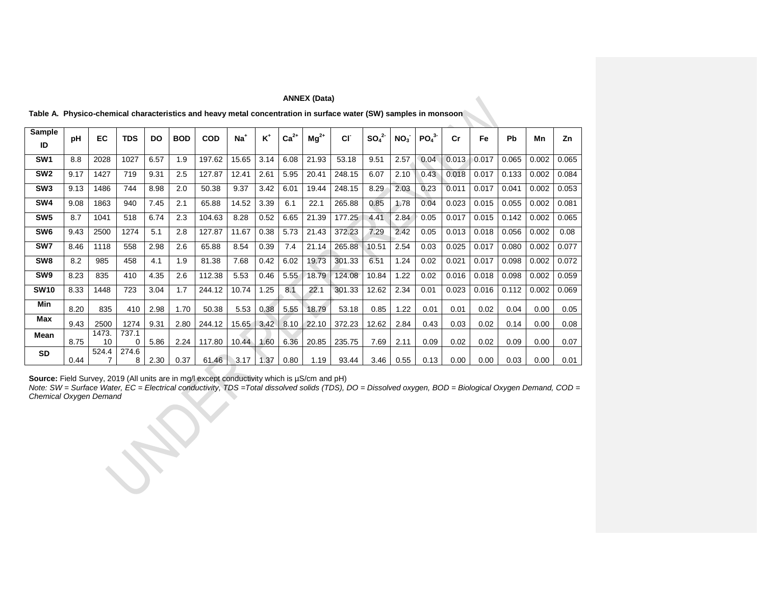## **ANNEX (Data)**

| <b>Sample</b>   |      |             |            |           |            |            |       |       |        |           |                 |                              |                 |                              |       |       |       |       |       |
|-----------------|------|-------------|------------|-----------|------------|------------|-------|-------|--------|-----------|-----------------|------------------------------|-----------------|------------------------------|-------|-------|-------|-------|-------|
| ID              | pH   | EC          | <b>TDS</b> | <b>DO</b> | <b>BOD</b> | <b>COD</b> | $Na+$ | $K^+$ | $Ca2+$ | $Mg^{2+}$ | CI <sup>-</sup> | SO <sub>4</sub> <sup>2</sup> | NO <sub>3</sub> | PO <sub>4</sub> <sup>3</sup> | Cr    | Fe    | Pb    | Mn    | Zn    |
| SW <sub>1</sub> | 8.8  | 2028        | 1027       | 6.57      | 1.9        | 197.62     | 15.65 | 3.14  | 6.08   | 21.93     | 53.18           | 9.51                         | 2.57            | 0.04                         | 0.013 | 0.017 | 0.065 | 0.002 | 0.065 |
| SW <sub>2</sub> | 9.17 | 1427        | 719        | 9.31      | 2.5        | 127.87     | 12.41 | 2.61  | 5.95   | 20.41     | 248.15          | 6.07                         | 2.10            | 0.43                         | 0.018 | 0.017 | 0.133 | 0.002 | 0.084 |
| SW <sub>3</sub> | 9.13 | 1486        | 744        | 8.98      | 2.0        | 50.38      | 9.37  | 3.42  | 6.01   | 19.44     | 248.15          | 8.29                         | 2.03            | 0.23                         | 0.011 | 0.017 | 0.041 | 0.002 | 0.053 |
| SW <sub>4</sub> | 9.08 | 1863        | 940        | 7.45      | 2.1        | 65.88      | 14.52 | 3.39  | 6.1    | 22.1      | 265.88          | 0.85                         | 1.78            | 0.04                         | 0.023 | 0.015 | 0.055 | 0.002 | 0.081 |
| SW <sub>5</sub> | 8.7  | 1041        | 518        | 6.74      | 2.3        | 104.63     | 8.28  | 0.52  | 6.65   | 21.39     | 177.25          | 4.41                         | 2.84            | 0.05                         | 0.017 | 0.015 | 0.142 | 0.002 | 0.065 |
| SW <sub>6</sub> | 9.43 | 2500        | 1274       | 5.1       | 2.8        | 127.87     | 11.67 | 0.38  | 5.73   | 21.43     | 372.23          | 7.29                         | 2.42            | 0.05                         | 0.013 | 0.018 | 0.056 | 0.002 | 0.08  |
| SW7             | 8.46 | 1118        | 558        | 2.98      | 2.6        | 65.88      | 8.54  | 0.39  | 7.4    | 21.14     | 265.88          | 10.51                        | 2.54            | 0.03                         | 0.025 | 0.017 | 0.080 | 0.002 | 0.077 |
| SW <sub>8</sub> | 8.2  | 985         | 458        | 4.1       | 1.9        | 81.38      | 7.68  | 0.42  | 6.02   | 19.73     | 301.33          | 6.51                         | 1.24            | 0.02                         | 0.021 | 0.017 | 0.098 | 0.002 | 0.072 |
| SW <sub>9</sub> | 8.23 | 835         | 410        | 4.35      | 2.6        | 112.38     | 5.53  | 0.46  | 5.55   | 18.79     | 124.08          | 10.84                        | 1.22            | 0.02                         | 0.016 | 0.018 | 0.098 | 0.002 | 0.059 |
| <b>SW10</b>     | 8.33 | 1448        | 723        | 3.04      | 1.7        | 244.12     | 10.74 | 1.25  | 8.1    | 22.1      | 301.33          | 12.62                        | 2.34            | 0.01                         | 0.023 | 0.016 | 0.112 | 0.002 | 0.069 |
| Min             | 8.20 | 835         | 410        | 2.98      | 1.70       | 50.38      | 5.53  | 0.38  | 5.55   | 18.79     | 53.18           | 0.85                         | 1.22            | 0.01                         | 0.01  | 0.02  | 0.04  | 0.00  | 0.05  |
| Max             | 9.43 | 2500        | 1274       | 9.31      | 2.80       | 244.12     | 15.65 | 3.42  | 8.10   | 22.10     | 372.23          | 12.62                        | 2.84            | 0.43                         | 0.03  | 0.02  | 0.14  | 0.00  | 0.08  |
| Mean            | 8.75 | 1473.<br>10 | 737.1<br>0 | 5.86      | 2.24       | 117.80     | 10.44 | 1.60  | 6.36   | 20.85     | 235.75          | 7.69                         | 2.11            | 0.09                         | 0.02  | 0.02  | 0.09  | 0.00  | 0.07  |
| <b>SD</b>       | 0.44 | 524.4       | 274.6<br>8 | 2.30      | 0.37       | 61.46      | 3.17  | 1.37  | 0.80   | 1.19      | 93.44           | 3.46                         | 0.55            | 0.13                         | 0.00  | 0.00  | 0.03  | 0.00  | 0.01  |

**Table A. Physico-chemical characteristics and heavy metal concentration in surface water (SW) samples in monsoon**

**Source:** Field Survey, 2019 (All units are in mg/l except conductivity which is µS/cm and pH)

*Note: SW = Surface Water, EC = Electrical conductivity, TDS =Total dissolved solids (TDS), DO = Dissolved oxygen, BOD = Biological Oxygen Demand, COD = Chemical Oxygen Demand*